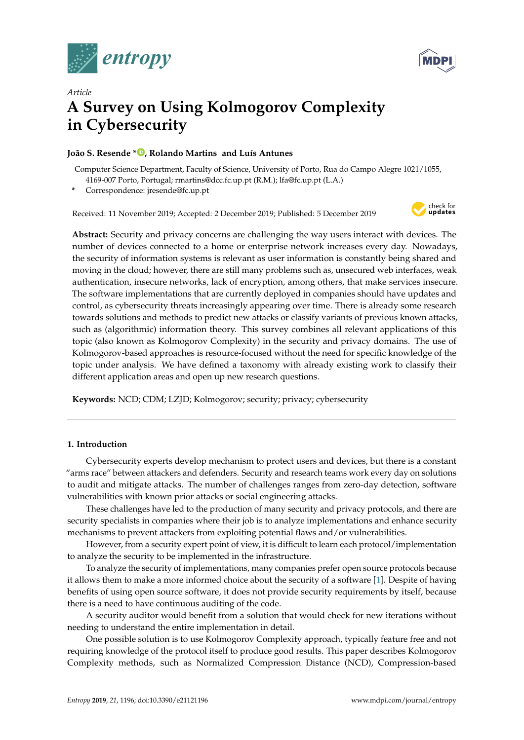



# *Article* **A Survey on Using Kolmogorov Complexity in Cybersecurity**

# **João S. Resende [\\*](https://orcid.org/0000-0003-0125-4240) , Rolando Martins and Luís Antunes**

Computer Science Department, Faculty of Science, University of Porto, Rua do Campo Alegre 1021/1055, 4169-007 Porto, Portugal; rmartins@dcc.fc.up.pt (R.M.); lfa@fc.up.pt (L.A.)

**\*** Correspondence: jresende@fc.up.pt

Received: 11 November 2019; Accepted: 2 December 2019; Published: 5 December 2019



**Abstract:** Security and privacy concerns are challenging the way users interact with devices. The number of devices connected to a home or enterprise network increases every day. Nowadays, the security of information systems is relevant as user information is constantly being shared and moving in the cloud; however, there are still many problems such as, unsecured web interfaces, weak authentication, insecure networks, lack of encryption, among others, that make services insecure. The software implementations that are currently deployed in companies should have updates and control, as cybersecurity threats increasingly appearing over time. There is already some research towards solutions and methods to predict new attacks or classify variants of previous known attacks, such as (algorithmic) information theory. This survey combines all relevant applications of this topic (also known as Kolmogorov Complexity) in the security and privacy domains. The use of Kolmogorov-based approaches is resource-focused without the need for specific knowledge of the topic under analysis. We have defined a taxonomy with already existing work to classify their different application areas and open up new research questions.

**Keywords:** NCD; CDM; LZJD; Kolmogorov; security; privacy; cybersecurity

# <span id="page-0-0"></span>**1. Introduction**

Cybersecurity experts develop mechanism to protect users and devices, but there is a constant "arms race" between attackers and defenders. Security and research teams work every day on solutions to audit and mitigate attacks. The number of challenges ranges from zero-day detection, software vulnerabilities with known prior attacks or social engineering attacks.

These challenges have led to the production of many security and privacy protocols, and there are security specialists in companies where their job is to analyze implementations and enhance security mechanisms to prevent attackers from exploiting potential flaws and/or vulnerabilities.

However, from a security expert point of view, it is difficult to learn each protocol/implementation to analyze the security to be implemented in the infrastructure.

To analyze the security of implementations, many companies prefer open source protocols because it allows them to make a more informed choice about the security of a software [\[1\]](#page-13-0). Despite of having benefits of using open source software, it does not provide security requirements by itself, because there is a need to have continuous auditing of the code.

A security auditor would benefit from a solution that would check for new iterations without needing to understand the entire implementation in detail.

One possible solution is to use Kolmogorov Complexity approach, typically feature free and not requiring knowledge of the protocol itself to produce good results. This paper describes Kolmogorov Complexity methods, such as Normalized Compression Distance (NCD), Compression-based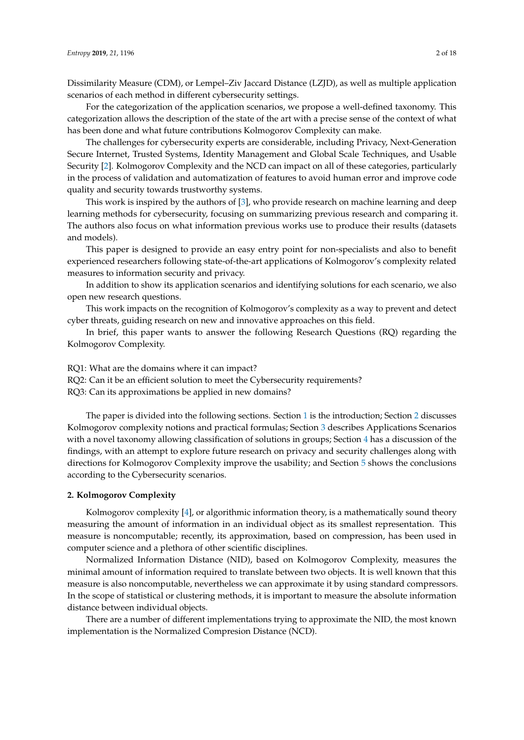Dissimilarity Measure (CDM), or Lempel–Ziv Jaccard Distance (LZJD), as well as multiple application scenarios of each method in different cybersecurity settings.

For the categorization of the application scenarios, we propose a well-defined taxonomy. This categorization allows the description of the state of the art with a precise sense of the context of what has been done and what future contributions Kolmogorov Complexity can make.

The challenges for cybersecurity experts are considerable, including Privacy, Next-Generation Secure Internet, Trusted Systems, Identity Management and Global Scale Techniques, and Usable Security [\[2\]](#page-13-1). Kolmogorov Complexity and the NCD can impact on all of these categories, particularly in the process of validation and automatization of features to avoid human error and improve code quality and security towards trustworthy systems.

This work is inspired by the authors of [\[3\]](#page-13-2), who provide research on machine learning and deep learning methods for cybersecurity, focusing on summarizing previous research and comparing it. The authors also focus on what information previous works use to produce their results (datasets and models).

This paper is designed to provide an easy entry point for non-specialists and also to benefit experienced researchers following state-of-the-art applications of Kolmogorov's complexity related measures to information security and privacy.

In addition to show its application scenarios and identifying solutions for each scenario, we also open new research questions.

This work impacts on the recognition of Kolmogorov's complexity as a way to prevent and detect cyber threats, guiding research on new and innovative approaches on this field.

In brief, this paper wants to answer the following Research Questions (RQ) regarding the Kolmogorov Complexity.

RQ1: What are the domains where it can impact?

RQ2: Can it be an efficient solution to meet the Cybersecurity requirements?

RQ3: Can its approximations be applied in new domains?

The paper is divided into the following sections. Section [1](#page-0-0) is the introduction; Section [2](#page-1-0) discusses Kolmogorov complexity notions and practical formulas; Section [3](#page-3-0) describes Applications Scenarios with a novel taxonomy allowing classification of solutions in groups; Section [4](#page-11-0) has a discussion of the findings, with an attempt to explore future research on privacy and security challenges along with directions for Kolmogorov Complexity improve the usability; and Section [5](#page-13-3) shows the conclusions according to the Cybersecurity scenarios.

## <span id="page-1-0"></span>**2. Kolmogorov Complexity**

Kolmogorov complexity [\[4\]](#page-13-4), or algorithmic information theory, is a mathematically sound theory measuring the amount of information in an individual object as its smallest representation. This measure is noncomputable; recently, its approximation, based on compression, has been used in computer science and a plethora of other scientific disciplines.

Normalized Information Distance (NID), based on Kolmogorov Complexity, measures the minimal amount of information required to translate between two objects. It is well known that this measure is also noncomputable, nevertheless we can approximate it by using standard compressors. In the scope of statistical or clustering methods, it is important to measure the absolute information distance between individual objects.

There are a number of different implementations trying to approximate the NID, the most known implementation is the Normalized Compresion Distance (NCD).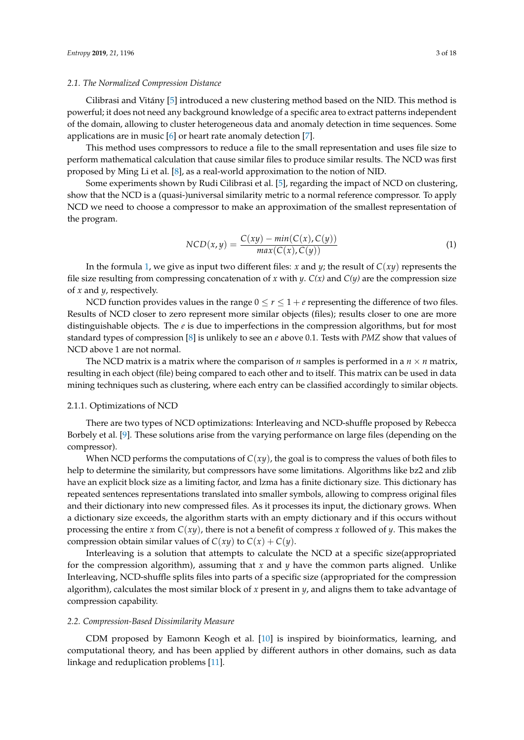## *2.1. The Normalized Compression Distance*

Cilibrasi and Vitány [\[5\]](#page-13-5) introduced a new clustering method based on the NID. This method is powerful; it does not need any background knowledge of a specific area to extract patterns independent of the domain, allowing to cluster heterogeneous data and anomaly detection in time sequences. Some applications are in music [\[6\]](#page-13-6) or heart rate anomaly detection [\[7\]](#page-14-0).

This method uses compressors to reduce a file to the small representation and uses file size to perform mathematical calculation that cause similar files to produce similar results. The NCD was first proposed by Ming Li et al. [\[8\]](#page-14-1), as a real-world approximation to the notion of NID.

Some experiments shown by Rudi Cilibrasi et al. [\[5\]](#page-13-5), regarding the impact of NCD on clustering, show that the NCD is a (quasi-)universal similarity metric to a normal reference compressor. To apply NCD we need to choose a compressor to make an approximation of the smallest representation of the program.

<span id="page-2-0"></span>
$$
NCD(x,y) = \frac{C(xy) - min(C(x), C(y))}{max(C(x), C(y))}
$$
\n(1)

In the formula [1,](#page-2-0) we give as input two different files: *x* and *y*; the result of  $C(xy)$  represents the file size resulting from compressing concatenation of *x* with *y*. *C(x)* and *C(y)* are the compression size of *x* and *y*, respectively.

NCD function provides values in the range  $0 \le r \le 1 + e$  representing the difference of two files. Results of NCD closer to zero represent more similar objects (files); results closer to one are more distinguishable objects. The *e* is due to imperfections in the compression algorithms, but for most standard types of compression [\[8\]](#page-14-1) is unlikely to see an *e* above 0.1. Tests with *PMZ* show that values of NCD above 1 are not normal.

The NCD matrix is a matrix where the comparison of *n* samples is performed in a  $n \times n$  matrix, resulting in each object (file) being compared to each other and to itself. This matrix can be used in data mining techniques such as clustering, where each entry can be classified accordingly to similar objects.

## <span id="page-2-1"></span>2.1.1. Optimizations of NCD

There are two types of NCD optimizations: Interleaving and NCD-shuffle proposed by Rebecca Borbely et al. [\[9\]](#page-14-2). These solutions arise from the varying performance on large files (depending on the compressor).

When NCD performs the computations of  $C(xy)$ , the goal is to compress the values of both files to help to determine the similarity, but compressors have some limitations. Algorithms like bz2 and zlib have an explicit block size as a limiting factor, and lzma has a finite dictionary size. This dictionary has repeated sentences representations translated into smaller symbols, allowing to compress original files and their dictionary into new compressed files. As it processes its input, the dictionary grows. When a dictionary size exceeds, the algorithm starts with an empty dictionary and if this occurs without processing the entire *x* from  $C(xy)$ , there is not a benefit of compress *x* followed of *y*. This makes the compression obtain similar values of  $C(xy)$  to  $C(x) + C(y)$ .

Interleaving is a solution that attempts to calculate the NCD at a specific size(appropriated for the compression algorithm), assuming that  $x$  and  $y$  have the common parts aligned. Unlike Interleaving, NCD-shuffle splits files into parts of a specific size (appropriated for the compression algorithm), calculates the most similar block of *x* present in *y*, and aligns them to take advantage of compression capability.

## *2.2. Compression-Based Dissimilarity Measure*

CDM proposed by Eamonn Keogh et al. [\[10\]](#page-14-3) is inspired by bioinformatics, learning, and computational theory, and has been applied by different authors in other domains, such as data linkage and reduplication problems [\[11\]](#page-14-4).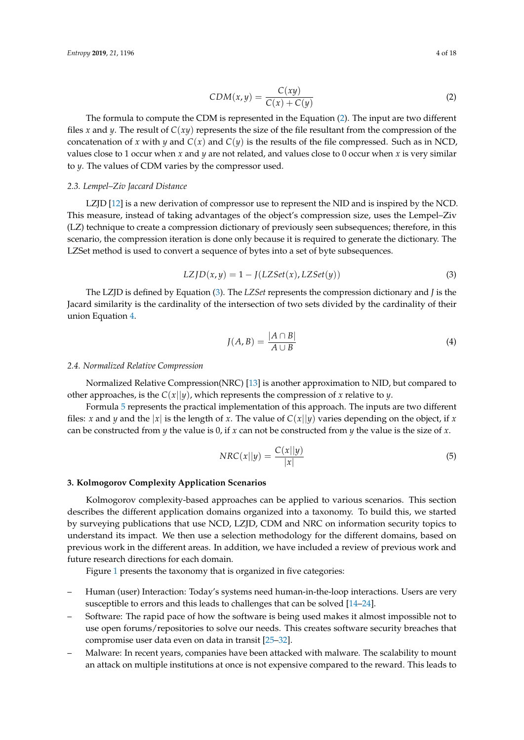<span id="page-3-1"></span>
$$
CDM(x,y) = \frac{C(xy)}{C(x) + C(y)}
$$
\n(2)

The formula to compute the CDM is represented in the Equation [\(2\)](#page-3-1). The input are two different files *x* and *y*. The result of  $C(xy)$  represents the size of the file resultant from the compression of the concatenation of *x* with *y* and  $C(x)$  and  $C(y)$  is the results of the file compressed. Such as in NCD, values close to 1 occur when *x* and *y* are not related, and values close to 0 occur when *x* is very similar to *y*. The values of CDM varies by the compressor used.

## *2.3. Lempel–Ziv Jaccard Distance*

LZJD [\[12\]](#page-14-5) is a new derivation of compressor use to represent the NID and is inspired by the NCD. This measure, instead of taking advantages of the object's compression size, uses the Lempel–Ziv (LZ) technique to create a compression dictionary of previously seen subsequences; therefore, in this scenario, the compression iteration is done only because it is required to generate the dictionary. The LZSet method is used to convert a sequence of bytes into a set of byte subsequences.

<span id="page-3-2"></span>
$$
LZJD(x,y) = 1 - J(LZSet(x), LZSet(y))
$$
\n(3)

The LZJD is defined by Equation [\(3\)](#page-3-2). The *LZSet* represents the compression dictionary and *J* is the Jacard similarity is the cardinality of the intersection of two sets divided by the cardinality of their union Equation [4.](#page-3-3)

<span id="page-3-3"></span>
$$
J(A, B) = \frac{|A \cap B|}{A \cup B} \tag{4}
$$

#### *2.4. Normalized Relative Compression*

Normalized Relative Compression(NRC) [\[13\]](#page-14-6) is another approximation to NID, but compared to other approaches, is the  $C(x||y)$ , which represents the compression of *x* relative to *y*.

Formula [5](#page-3-4) represents the practical implementation of this approach. The inputs are two different files: *x* and *y* and the |*x*| is the length of *x*. The value of  $C(x||y)$  varies depending on the object, if *x* can be constructed from *y* the value is 0, if *x* can not be constructed from *y* the value is the size of *x*.

<span id="page-3-4"></span>
$$
NRC(x||y) = \frac{C(x||y)}{|x|} \tag{5}
$$

#### <span id="page-3-0"></span>**3. Kolmogorov Complexity Application Scenarios**

Kolmogorov complexity-based approaches can be applied to various scenarios. This section describes the different application domains organized into a taxonomy. To build this, we started by surveying publications that use NCD, LZJD, CDM and NRC on information security topics to understand its impact. We then use a selection methodology for the different domains, based on previous work in the different areas. In addition, we have included a review of previous work and future research directions for each domain.

Figure [1](#page-4-0) presents the taxonomy that is organized in five categories:

- Human (user) Interaction: Today's systems need human-in-the-loop interactions. Users are very susceptible to errors and this leads to challenges that can be solved [\[14–](#page-14-7)[24\]](#page-14-8).
- Software: The rapid pace of how the software is being used makes it almost impossible not to use open forums/repositories to solve our needs. This creates software security breaches that compromise user data even on data in transit [\[25–](#page-14-9)[32\]](#page-15-0).
- Malware: In recent years, companies have been attacked with malware. The scalability to mount an attack on multiple institutions at once is not expensive compared to the reward. This leads to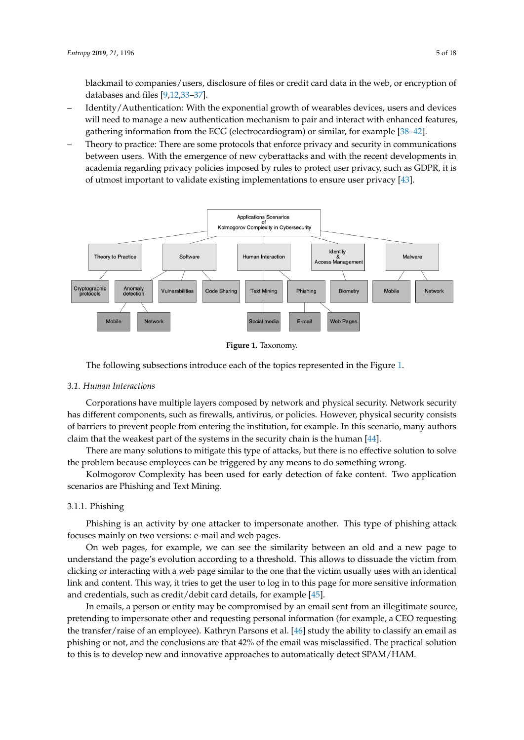blackmail to companies/users, disclosure of files or credit card data in the web, or encryption of databases and files [\[9,](#page-14-2)[12,](#page-14-5)[33–](#page-15-1)[37\]](#page-15-2).

- Identity/Authentication: With the exponential growth of wearables devices, users and devices will need to manage a new authentication mechanism to pair and interact with enhanced features, gathering information from the ECG (electrocardiogram) or similar, for example [\[38–](#page-15-3)[42\]](#page-15-4).
- Theory to practice: There are some protocols that enforce privacy and security in communications between users. With the emergence of new cyberattacks and with the recent developments in academia regarding privacy policies imposed by rules to protect user privacy, such as GDPR, it is of utmost important to validate existing implementations to ensure user privacy [\[43\]](#page-15-5).

<span id="page-4-0"></span>

**Figure 1.** Taxonomy.

The following subsections introduce each of the topics represented in the Figure [1.](#page-4-0)

## *3.1. Human Interactions*

Corporations have multiple layers composed by network and physical security. Network security has different components, such as firewalls, antivirus, or policies. However, physical security consists of barriers to prevent people from entering the institution, for example. In this scenario, many authors claim that the weakest part of the systems in the security chain is the human [\[44\]](#page-15-6).

There are many solutions to mitigate this type of attacks, but there is no effective solution to solve the problem because employees can be triggered by any means to do something wrong.

Kolmogorov Complexity has been used for early detection of fake content. Two application scenarios are Phishing and Text Mining.

## 3.1.1. Phishing

Phishing is an activity by one attacker to impersonate another. This type of phishing attack focuses mainly on two versions: e-mail and web pages.

On web pages, for example, we can see the similarity between an old and a new page to understand the page's evolution according to a threshold. This allows to dissuade the victim from clicking or interacting with a web page similar to the one that the victim usually uses with an identical link and content. This way, it tries to get the user to log in to this page for more sensitive information and credentials, such as credit/debit card details, for example [\[45\]](#page-15-7).

In emails, a person or entity may be compromised by an email sent from an illegitimate source, pretending to impersonate other and requesting personal information (for example, a CEO requesting the transfer/raise of an employee). Kathryn Parsons et al. [\[46\]](#page-15-8) study the ability to classify an email as phishing or not, and the conclusions are that 42% of the email was misclassified. The practical solution to this is to develop new and innovative approaches to automatically detect SPAM/HAM.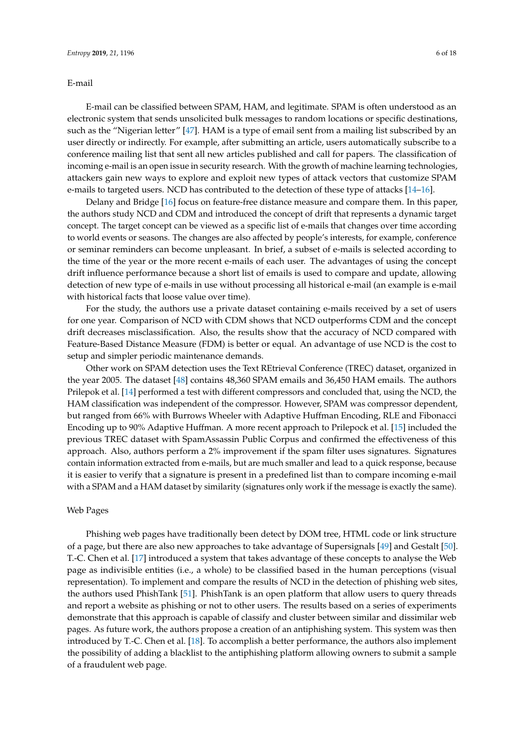## E-mail

E-mail can be classified between SPAM, HAM, and legitimate. SPAM is often understood as an electronic system that sends unsolicited bulk messages to random locations or specific destinations, such as the "Nigerian letter" [\[47\]](#page-15-9). HAM is a type of email sent from a mailing list subscribed by an user directly or indirectly. For example, after submitting an article, users automatically subscribe to a conference mailing list that sent all new articles published and call for papers. The classification of incoming e-mail is an open issue in security research. With the growth of machine learning technologies, attackers gain new ways to explore and exploit new types of attack vectors that customize SPAM e-mails to targeted users. NCD has contributed to the detection of these type of attacks [\[14–](#page-14-7)[16\]](#page-14-10).

Delany and Bridge [\[16\]](#page-14-10) focus on feature-free distance measure and compare them. In this paper, the authors study NCD and CDM and introduced the concept of drift that represents a dynamic target concept. The target concept can be viewed as a specific list of e-mails that changes over time according to world events or seasons. The changes are also affected by people's interests, for example, conference or seminar reminders can become unpleasant. In brief, a subset of e-mails is selected according to the time of the year or the more recent e-mails of each user. The advantages of using the concept drift influence performance because a short list of emails is used to compare and update, allowing detection of new type of e-mails in use without processing all historical e-mail (an example is e-mail with historical facts that loose value over time).

For the study, the authors use a private dataset containing e-mails received by a set of users for one year. Comparison of NCD with CDM shows that NCD outperforms CDM and the concept drift decreases misclassification. Also, the results show that the accuracy of NCD compared with Feature-Based Distance Measure (FDM) is better or equal. An advantage of use NCD is the cost to setup and simpler periodic maintenance demands.

Other work on SPAM detection uses the Text REtrieval Conference (TREC) dataset, organized in the year 2005. The dataset [\[48\]](#page-15-10) contains 48,360 SPAM emails and 36,450 HAM emails. The authors Prilepok et al. [\[14\]](#page-14-7) performed a test with different compressors and concluded that, using the NCD, the HAM classification was independent of the compressor. However, SPAM was compressor dependent, but ranged from 66% with Burrows Wheeler with Adaptive Huffman Encoding, RLE and Fibonacci Encoding up to 90% Adaptive Huffman. A more recent approach to Prilepock et al. [\[15\]](#page-14-11) included the previous TREC dataset with SpamAssassin Public Corpus and confirmed the effectiveness of this approach. Also, authors perform a 2% improvement if the spam filter uses signatures. Signatures contain information extracted from e-mails, but are much smaller and lead to a quick response, because it is easier to verify that a signature is present in a predefined list than to compare incoming e-mail with a SPAM and a HAM dataset by similarity (signatures only work if the message is exactly the same).

#### Web Pages

Phishing web pages have traditionally been detect by DOM tree, HTML code or link structure of a page, but there are also new approaches to take advantage of Supersignals [\[49\]](#page-15-11) and Gestalt [\[50\]](#page-15-12). T.-C. Chen et al. [\[17\]](#page-14-12) introduced a system that takes advantage of these concepts to analyse the Web page as indivisible entities (i.e., a whole) to be classified based in the human perceptions (visual representation). To implement and compare the results of NCD in the detection of phishing web sites, the authors used PhishTank [\[51\]](#page-15-13). PhishTank is an open platform that allow users to query threads and report a website as phishing or not to other users. The results based on a series of experiments demonstrate that this approach is capable of classify and cluster between similar and dissimilar web pages. As future work, the authors propose a creation of an antiphishing system. This system was then introduced by T.-C. Chen et al. [\[18\]](#page-14-13). To accomplish a better performance, the authors also implement the possibility of adding a blacklist to the antiphishing platform allowing owners to submit a sample of a fraudulent web page.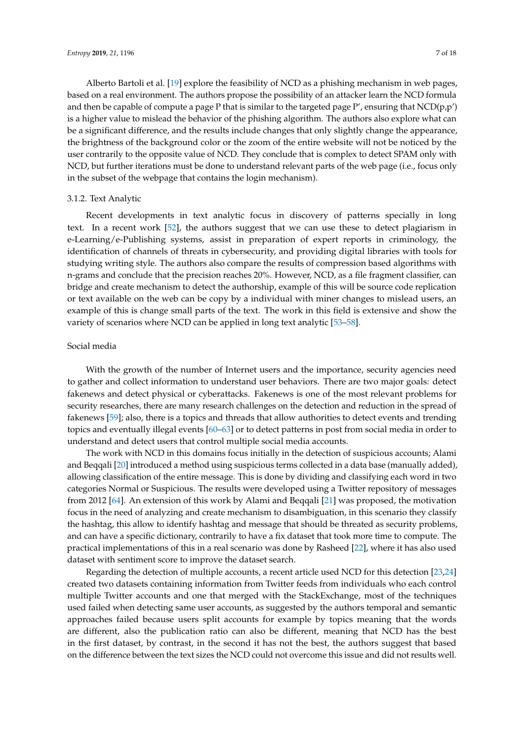Alberto Bartoli et al. [\[19\]](#page-14-14) explore the feasibility of NCD as a phishing mechanism in web pages, based on a real environment. The authors propose the possibility of an attacker learn the NCD formula and then be capable of compute a page P that is similar to the targeted page P', ensuring that  $NCD(p,p')$ is a higher value to mislead the behavior of the phishing algorithm. The authors also explore what can be a significant difference, and the results include changes that only slightly change the appearance, the brightness of the background color or the zoom of the entire website will not be noticed by the user contrarily to the opposite value of NCD. They conclude that is complex to detect SPAM only with NCD, but further iterations must be done to understand relevant parts of the web page (i.e., focus only in the subset of the webpage that contains the login mechanism).

#### 3.1.2. Text Analytic

Recent developments in text analytic focus in discovery of patterns specially in long text. In a recent work [\[52\]](#page-16-0), the authors suggest that we can use these to detect plagiarism in e-Learning/e-Publishing systems, assist in preparation of expert reports in criminology, the identification of channels of threats in cybersecurity, and providing digital libraries with tools for studying writing style. The authors also compare the results of compression based algorithms with n-grams and conclude that the precision reaches 20%. However, NCD, as a file fragment classifier, can bridge and create mechanism to detect the authorship, example of this will be source code replication or text available on the web can be copy by a individual with miner changes to mislead users, an example of this is change small parts of the text. The work in this field is extensive and show the variety of scenarios where NCD can be applied in long text analytic [\[53–](#page-16-1)[58\]](#page-16-2).

## Social media

With the growth of the number of Internet users and the importance, security agencies need to gather and collect information to understand user behaviors. There are two major goals: detect fakenews and detect physical or cyberattacks. Fakenews is one of the most relevant problems for security researches, there are many research challenges on the detection and reduction in the spread of fakenews [\[59\]](#page-16-3); also, there is a topics and threads that allow authorities to detect events and trending topics and eventually illegal events [\[60](#page-16-4)[–63\]](#page-16-5) or to detect patterns in post from social media in order to understand and detect users that control multiple social media accounts.

The work with NCD in this domains focus initially in the detection of suspicious accounts; Alami and Beqqali [\[20\]](#page-14-15) introduced a method using suspicious terms collected in a data base (manually added), allowing classification of the entire message. This is done by dividing and classifying each word in two categories Normal or Suspicious. The results were developed using a Twitter repository of messages from 2012 [\[64\]](#page-16-6). An extension of this work by Alami and Beqqali [\[21\]](#page-14-16) was proposed, the motivation focus in the need of analyzing and create mechanism to disambiguation, in this scenario they classify the hashtag, this allow to identify hashtag and message that should be threated as security problems, and can have a specific dictionary, contrarily to have a fix dataset that took more time to compute. The practical implementations of this in a real scenario was done by Rasheed [\[22\]](#page-14-17), where it has also used dataset with sentiment score to improve the dataset search.

Regarding the detection of multiple accounts, a recent article used NCD for this detection [\[23](#page-14-18)[,24\]](#page-14-8) created two datasets containing information from Twitter feeds from individuals who each control multiple Twitter accounts and one that merged with the StackExchange, most of the techniques used failed when detecting same user accounts, as suggested by the authors temporal and semantic approaches failed because users split accounts for example by topics meaning that the words are different, also the publication ratio can also be different, meaning that NCD has the best in the first dataset, by contrast, in the second it has not the best, the authors suggest that based on the difference between the text sizes the NCD could not overcome this issue and did not results well.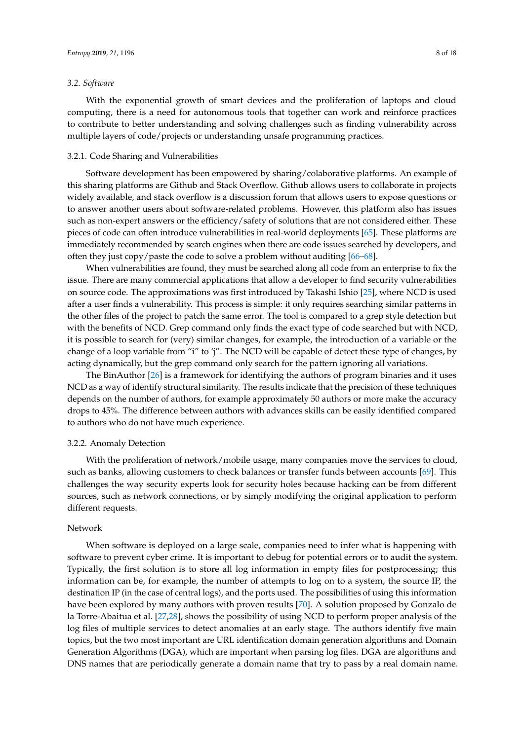## *3.2. Software*

With the exponential growth of smart devices and the proliferation of laptops and cloud computing, there is a need for autonomous tools that together can work and reinforce practices to contribute to better understanding and solving challenges such as finding vulnerability across multiple layers of code/projects or understanding unsafe programming practices.

#### 3.2.1. Code Sharing and Vulnerabilities

Software development has been empowered by sharing/colaborative platforms. An example of this sharing platforms are Github and Stack Overflow. Github allows users to collaborate in projects widely available, and stack overflow is a discussion forum that allows users to expose questions or to answer another users about software-related problems. However, this platform also has issues such as non-expert answers or the efficiency/safety of solutions that are not considered either. These pieces of code can often introduce vulnerabilities in real-world deployments [\[65\]](#page-16-7). These platforms are immediately recommended by search engines when there are code issues searched by developers, and often they just copy/paste the code to solve a problem without auditing [\[66–](#page-16-8)[68\]](#page-16-9).

When vulnerabilities are found, they must be searched along all code from an enterprise to fix the issue. There are many commercial applications that allow a developer to find security vulnerabilities on source code. The approximations was first introduced by Takashi Ishio [\[25\]](#page-14-9), where NCD is used after a user finds a vulnerability. This process is simple: it only requires searching similar patterns in the other files of the project to patch the same error. The tool is compared to a grep style detection but with the benefits of NCD. Grep command only finds the exact type of code searched but with NCD, it is possible to search for (very) similar changes, for example, the introduction of a variable or the change of a loop variable from "i" to 'j". The NCD will be capable of detect these type of changes, by acting dynamically, but the grep command only search for the pattern ignoring all variations.

The BinAuthor [\[26\]](#page-14-19) is a framework for identifying the authors of program binaries and it uses NCD as a way of identify structural similarity. The results indicate that the precision of these techniques depends on the number of authors, for example approximately 50 authors or more make the accuracy drops to 45%. The difference between authors with advances skills can be easily identified compared to authors who do not have much experience.

#### 3.2.2. Anomaly Detection

With the proliferation of network/mobile usage, many companies move the services to cloud, such as banks, allowing customers to check balances or transfer funds between accounts [\[69\]](#page-16-10). This challenges the way security experts look for security holes because hacking can be from different sources, such as network connections, or by simply modifying the original application to perform different requests.

## Network

When software is deployed on a large scale, companies need to infer what is happening with software to prevent cyber crime. It is important to debug for potential errors or to audit the system. Typically, the first solution is to store all log information in empty files for postprocessing; this information can be, for example, the number of attempts to log on to a system, the source IP, the destination IP (in the case of central logs), and the ports used. The possibilities of using this information have been explored by many authors with proven results [\[70\]](#page-16-11). A solution proposed by Gonzalo de la Torre-Abaitua et al. [\[27](#page-14-20)[,28\]](#page-14-21), shows the possibility of using NCD to perform proper analysis of the log files of multiple services to detect anomalies at an early stage. The authors identify five main topics, but the two most important are URL identification domain generation algorithms and Domain Generation Algorithms (DGA), which are important when parsing log files. DGA are algorithms and DNS names that are periodically generate a domain name that try to pass by a real domain name.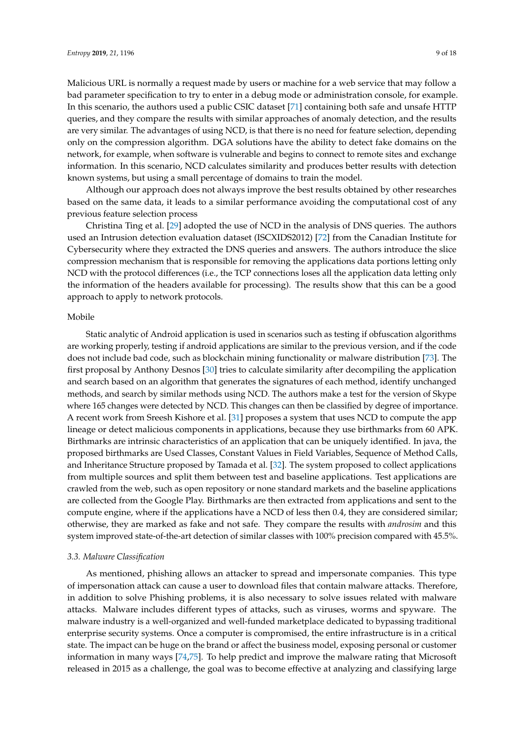Malicious URL is normally a request made by users or machine for a web service that may follow a bad parameter specification to try to enter in a debug mode or administration console, for example. In this scenario, the authors used a public CSIC dataset [\[71\]](#page-16-12) containing both safe and unsafe HTTP queries, and they compare the results with similar approaches of anomaly detection, and the results are very similar. The advantages of using NCD, is that there is no need for feature selection, depending only on the compression algorithm. DGA solutions have the ability to detect fake domains on the network, for example, when software is vulnerable and begins to connect to remote sites and exchange information. In this scenario, NCD calculates similarity and produces better results with detection known systems, but using a small percentage of domains to train the model.

Although our approach does not always improve the best results obtained by other researches based on the same data, it leads to a similar performance avoiding the computational cost of any previous feature selection process

Christina Ting et al. [\[29\]](#page-15-14) adopted the use of NCD in the analysis of DNS queries. The authors used an Intrusion detection evaluation dataset (ISCXIDS2012) [\[72\]](#page-16-13) from the Canadian Institute for Cybersecurity where they extracted the DNS queries and answers. The authors introduce the slice compression mechanism that is responsible for removing the applications data portions letting only NCD with the protocol differences (i.e., the TCP connections loses all the application data letting only the information of the headers available for processing). The results show that this can be a good approach to apply to network protocols.

## Mobile

Static analytic of Android application is used in scenarios such as testing if obfuscation algorithms are working properly, testing if android applications are similar to the previous version, and if the code does not include bad code, such as blockchain mining functionality or malware distribution [\[73\]](#page-16-14). The first proposal by Anthony Desnos [\[30\]](#page-15-15) tries to calculate similarity after decompiling the application and search based on an algorithm that generates the signatures of each method, identify unchanged methods, and search by similar methods using NCD. The authors make a test for the version of Skype where 165 changes were detected by NCD. This changes can then be classified by degree of importance. A recent work from Sreesh Kishore et al. [\[31\]](#page-15-16) proposes a system that uses NCD to compute the app lineage or detect malicious components in applications, because they use birthmarks from 60 APK. Birthmarks are intrinsic characteristics of an application that can be uniquely identified. In java, the proposed birthmarks are Used Classes, Constant Values in Field Variables, Sequence of Method Calls, and Inheritance Structure proposed by Tamada et al. [\[32\]](#page-15-0). The system proposed to collect applications from multiple sources and split them between test and baseline applications. Test applications are crawled from the web, such as open repository or none standard markets and the baseline applications are collected from the Google Play. Birthmarks are then extracted from applications and sent to the compute engine, where if the applications have a NCD of less then 0.4, they are considered similar; otherwise, they are marked as fake and not safe. They compare the results with *androsim* and this system improved state-of-the-art detection of similar classes with 100% precision compared with 45.5%.

## *3.3. Malware Classification*

As mentioned, phishing allows an attacker to spread and impersonate companies. This type of impersonation attack can cause a user to download files that contain malware attacks. Therefore, in addition to solve Phishing problems, it is also necessary to solve issues related with malware attacks. Malware includes different types of attacks, such as viruses, worms and spyware. The malware industry is a well-organized and well-funded marketplace dedicated to bypassing traditional enterprise security systems. Once a computer is compromised, the entire infrastructure is in a critical state. The impact can be huge on the brand or affect the business model, exposing personal or customer information in many ways [\[74,](#page-17-0)[75\]](#page-17-1). To help predict and improve the malware rating that Microsoft released in 2015 as a challenge, the goal was to become effective at analyzing and classifying large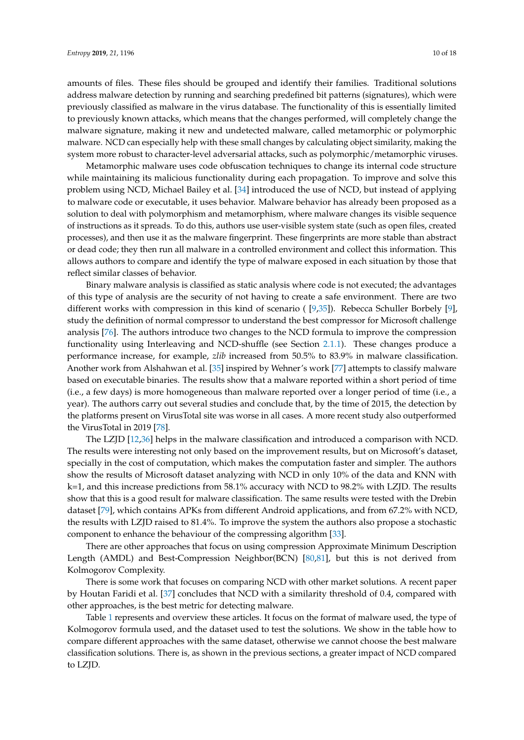amounts of files. These files should be grouped and identify their families. Traditional solutions address malware detection by running and searching predefined bit patterns (signatures), which were previously classified as malware in the virus database. The functionality of this is essentially limited to previously known attacks, which means that the changes performed, will completely change the malware signature, making it new and undetected malware, called metamorphic or polymorphic malware. NCD can especially help with these small changes by calculating object similarity, making the system more robust to character-level adversarial attacks, such as polymorphic/metamorphic viruses.

Metamorphic malware uses code obfuscation techniques to change its internal code structure while maintaining its malicious functionality during each propagation. To improve and solve this problem using NCD, Michael Bailey et al. [\[34\]](#page-15-17) introduced the use of NCD, but instead of applying to malware code or executable, it uses behavior. Malware behavior has already been proposed as a solution to deal with polymorphism and metamorphism, where malware changes its visible sequence of instructions as it spreads. To do this, authors use user-visible system state (such as open files, created processes), and then use it as the malware fingerprint. These fingerprints are more stable than abstract or dead code; they then run all malware in a controlled environment and collect this information. This allows authors to compare and identify the type of malware exposed in each situation by those that reflect similar classes of behavior.

Binary malware analysis is classified as static analysis where code is not executed; the advantages of this type of analysis are the security of not having to create a safe environment. There are two different works with compression in this kind of scenario ( [\[9,](#page-14-2)[35\]](#page-15-18)). Rebecca Schuller Borbely [\[9\]](#page-14-2), study the definition of normal compressor to understand the best compressor for Microsoft challenge analysis [\[76\]](#page-17-2). The authors introduce two changes to the NCD formula to improve the compression functionality using Interleaving and NCD-shuffle (see Section [2.1.1\)](#page-2-1). These changes produce a performance increase, for example, *zlib* increased from 50.5% to 83.9% in malware classification. Another work from Alshahwan et al. [\[35\]](#page-15-18) inspired by Wehner's work [\[77\]](#page-17-3) attempts to classify malware based on executable binaries. The results show that a malware reported within a short period of time (i.e., a few days) is more homogeneous than malware reported over a longer period of time (i.e., a year). The authors carry out several studies and conclude that, by the time of 2015, the detection by the platforms present on VirusTotal site was worse in all cases. A more recent study also outperformed the VirusTotal in 2019 [\[78\]](#page-17-4).

The LZJD [\[12,](#page-14-5)[36\]](#page-15-19) helps in the malware classification and introduced a comparison with NCD. The results were interesting not only based on the improvement results, but on Microsoft's dataset, specially in the cost of computation, which makes the computation faster and simpler. The authors show the results of Microsoft dataset analyzing with NCD in only 10% of the data and KNN with k=1, and this increase predictions from 58.1% accuracy with NCD to 98.2% with LZJD. The results show that this is a good result for malware classification. The same results were tested with the Drebin dataset [\[79\]](#page-17-5), which contains APKs from different Android applications, and from 67.2% with NCD, the results with LZJD raised to 81.4%. To improve the system the authors also propose a stochastic component to enhance the behaviour of the compressing algorithm [\[33\]](#page-15-1).

There are other approaches that focus on using compression Approximate Minimum Description Length (AMDL) and Best-Compression Neighbor(BCN) [\[80](#page-17-6)[,81\]](#page-17-7), but this is not derived from Kolmogorov Complexity.

There is some work that focuses on comparing NCD with other market solutions. A recent paper by Houtan Faridi et al. [\[37\]](#page-15-2) concludes that NCD with a similarity threshold of 0.4, compared with other approaches, is the best metric for detecting malware.

Table [1](#page-10-0) represents and overview these articles. It focus on the format of malware used, the type of Kolmogorov formula used, and the dataset used to test the solutions. We show in the table how to compare different approaches with the same dataset, otherwise we cannot choose the best malware classification solutions. There is, as shown in the previous sections, a greater impact of NCD compared to LZJD.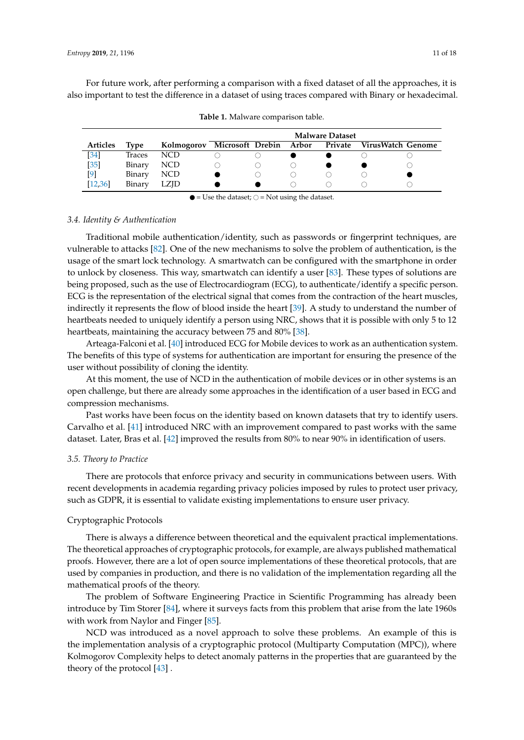For future work, after performing a comparison with a fixed dataset of all the approaches, it is also important to test the difference in a dataset of using traces compared with Binary or hexadecimal.

<span id="page-10-0"></span>

|                 |        |                                   | Malware Dataset |  |  |         |                   |  |
|-----------------|--------|-----------------------------------|-----------------|--|--|---------|-------------------|--|
| <b>Articles</b> | Type   | Kolmogorov Microsoft Drebin Arbor |                 |  |  | Private | VirusWatch Genome |  |
| [34]            | Traces | NCD                               |                 |  |  |         |                   |  |
| $[35]$          | Binary | NCD                               |                 |  |  |         |                   |  |
| [9]             | Binary | <b>NCD</b>                        |                 |  |  |         |                   |  |
| [12, 36]        | Binary | LZID                              |                 |  |  |         |                   |  |

**Table 1.** Malware comparison table.

 $\bullet$  = Use the dataset;  $\circ$  = Not using the dataset.

## *3.4. Identity & Authentication*

Traditional mobile authentication/identity, such as passwords or fingerprint techniques, are vulnerable to attacks [\[82\]](#page-17-8). One of the new mechanisms to solve the problem of authentication, is the usage of the smart lock technology. A smartwatch can be configured with the smartphone in order to unlock by closeness. This way, smartwatch can identify a user [\[83\]](#page-17-9). These types of solutions are being proposed, such as the use of Electrocardiogram (ECG), to authenticate/identify a specific person. ECG is the representation of the electrical signal that comes from the contraction of the heart muscles, indirectly it represents the flow of blood inside the heart [\[39\]](#page-15-20). A study to understand the number of heartbeats needed to uniquely identify a person using NRC, shows that it is possible with only 5 to 12 heartbeats, maintaining the accuracy between 75 and 80% [\[38\]](#page-15-3).

Arteaga-Falconi et al. [\[40\]](#page-15-21) introduced ECG for Mobile devices to work as an authentication system. The benefits of this type of systems for authentication are important for ensuring the presence of the user without possibility of cloning the identity.

At this moment, the use of NCD in the authentication of mobile devices or in other systems is an open challenge, but there are already some approaches in the identification of a user based in ECG and compression mechanisms.

Past works have been focus on the identity based on known datasets that try to identify users. Carvalho et al. [\[41\]](#page-15-22) introduced NRC with an improvement compared to past works with the same dataset. Later, Bras et al. [\[42\]](#page-15-4) improved the results from 80% to near 90% in identification of users.

## *3.5. Theory to Practice*

There are protocols that enforce privacy and security in communications between users. With recent developments in academia regarding privacy policies imposed by rules to protect user privacy, such as GDPR, it is essential to validate existing implementations to ensure user privacy.

## Cryptographic Protocols

There is always a difference between theoretical and the equivalent practical implementations. The theoretical approaches of cryptographic protocols, for example, are always published mathematical proofs. However, there are a lot of open source implementations of these theoretical protocols, that are used by companies in production, and there is no validation of the implementation regarding all the mathematical proofs of the theory.

The problem of Software Engineering Practice in Scientific Programming has already been introduce by Tim Storer [\[84\]](#page-17-10), where it surveys facts from this problem that arise from the late 1960s with work from Naylor and Finger [\[85\]](#page-17-11).

NCD was introduced as a novel approach to solve these problems. An example of this is the implementation analysis of a cryptographic protocol (Multiparty Computation (MPC)), where Kolmogorov Complexity helps to detect anomaly patterns in the properties that are guaranteed by the theory of the protocol [\[43\]](#page-15-5) .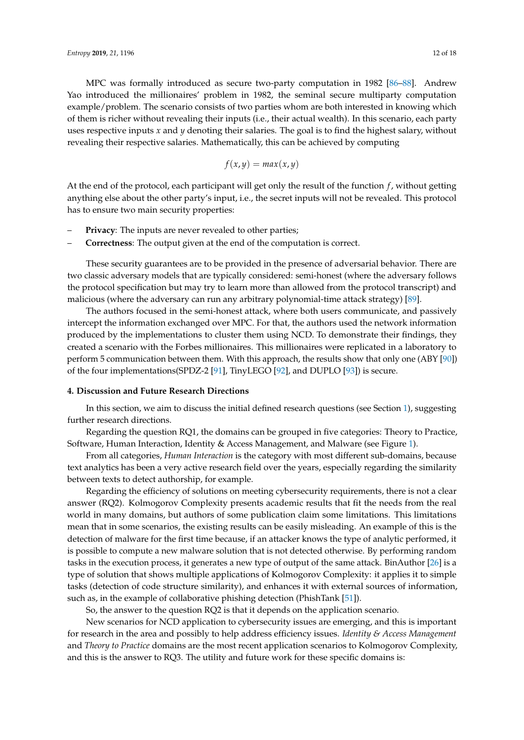MPC was formally introduced as secure two-party computation in 1982 [\[86–](#page-17-12)[88\]](#page-17-13). Andrew Yao introduced the millionaires' problem in 1982, the seminal secure multiparty computation example/problem. The scenario consists of two parties whom are both interested in knowing which of them is richer without revealing their inputs (i.e., their actual wealth). In this scenario, each party uses respective inputs *x* and *y* denoting their salaries. The goal is to find the highest salary, without revealing their respective salaries. Mathematically, this can be achieved by computing

$$
f(x,y) = \max(x,y)
$$

At the end of the protocol, each participant will get only the result of the function *f* , without getting anything else about the other party's input, i.e., the secret inputs will not be revealed. This protocol has to ensure two main security properties:

- **Privacy**: The inputs are never revealed to other parties;
- **Correctness**: The output given at the end of the computation is correct.

These security guarantees are to be provided in the presence of adversarial behavior. There are two classic adversary models that are typically considered: semi-honest (where the adversary follows the protocol specification but may try to learn more than allowed from the protocol transcript) and malicious (where the adversary can run any arbitrary polynomial-time attack strategy) [\[89\]](#page-17-14).

The authors focused in the semi-honest attack, where both users communicate, and passively intercept the information exchanged over MPC. For that, the authors used the network information produced by the implementations to cluster them using NCD. To demonstrate their findings, they created a scenario with the Forbes millionaires. This millionaires were replicated in a laboratory to perform 5 communication between them. With this approach, the results show that only one (ABY [\[90\]](#page-17-15)) of the four implementations(SPDZ-2 [\[91\]](#page-17-16), TinyLEGO [\[92\]](#page-17-17), and DUPLO [\[93\]](#page-17-18)) is secure.

## <span id="page-11-0"></span>**4. Discussion and Future Research Directions**

In this section, we aim to discuss the initial defined research questions (see Section [1\)](#page-0-0), suggesting further research directions.

Regarding the question RQ1, the domains can be grouped in five categories: Theory to Practice, Software, Human Interaction, Identity & Access Management, and Malware (see Figure [1\)](#page-4-0).

From all categories, *Human Interaction* is the category with most different sub-domains, because text analytics has been a very active research field over the years, especially regarding the similarity between texts to detect authorship, for example.

Regarding the efficiency of solutions on meeting cybersecurity requirements, there is not a clear answer (RQ2). Kolmogorov Complexity presents academic results that fit the needs from the real world in many domains, but authors of some publication claim some limitations. This limitations mean that in some scenarios, the existing results can be easily misleading. An example of this is the detection of malware for the first time because, if an attacker knows the type of analytic performed, it is possible to compute a new malware solution that is not detected otherwise. By performing random tasks in the execution process, it generates a new type of output of the same attack. BinAuthor [\[26\]](#page-14-19) is a type of solution that shows multiple applications of Kolmogorov Complexity: it applies it to simple tasks (detection of code structure similarity), and enhances it with external sources of information, such as, in the example of collaborative phishing detection (PhishTank [\[51\]](#page-15-13)).

So, the answer to the question RQ2 is that it depends on the application scenario.

New scenarios for NCD application to cybersecurity issues are emerging, and this is important for research in the area and possibly to help address efficiency issues. *Identity & Access Management* and *Theory to Practice* domains are the most recent application scenarios to Kolmogorov Complexity, and this is the answer to RQ3. The utility and future work for these specific domains is: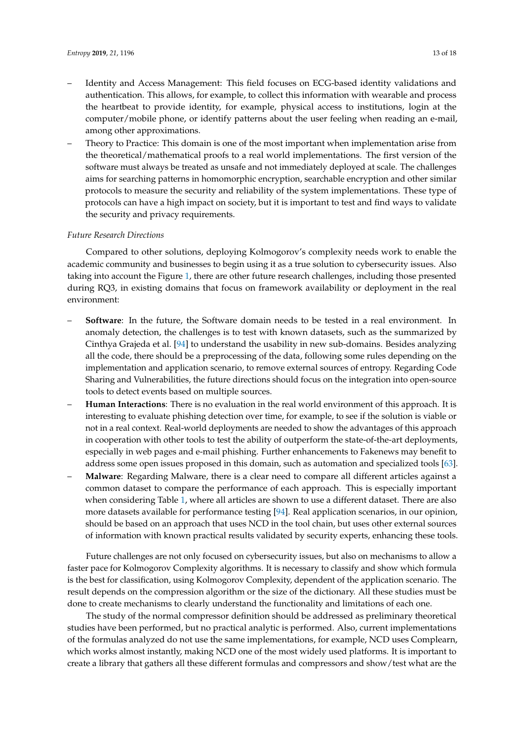- Identity and Access Management: This field focuses on ECG-based identity validations and authentication. This allows, for example, to collect this information with wearable and process the heartbeat to provide identity, for example, physical access to institutions, login at the computer/mobile phone, or identify patterns about the user feeling when reading an e-mail, among other approximations.
- Theory to Practice: This domain is one of the most important when implementation arise from the theoretical/mathematical proofs to a real world implementations. The first version of the software must always be treated as unsafe and not immediately deployed at scale. The challenges aims for searching patterns in homomorphic encryption, searchable encryption and other similar protocols to measure the security and reliability of the system implementations. These type of protocols can have a high impact on society, but it is important to test and find ways to validate the security and privacy requirements.

## *Future Research Directions*

Compared to other solutions, deploying Kolmogorov's complexity needs work to enable the academic community and businesses to begin using it as a true solution to cybersecurity issues. Also taking into account the Figure [1,](#page-4-0) there are other future research challenges, including those presented during RQ3, in existing domains that focus on framework availability or deployment in the real environment:

- **Software**: In the future, the Software domain needs to be tested in a real environment. In anomaly detection, the challenges is to test with known datasets, such as the summarized by Cinthya Grajeda et al. [\[94\]](#page-17-19) to understand the usability in new sub-domains. Besides analyzing all the code, there should be a preprocessing of the data, following some rules depending on the implementation and application scenario, to remove external sources of entropy. Regarding Code Sharing and Vulnerabilities, the future directions should focus on the integration into open-source tools to detect events based on multiple sources.
- **Human Interactions**: There is no evaluation in the real world environment of this approach. It is interesting to evaluate phishing detection over time, for example, to see if the solution is viable or not in a real context. Real-world deployments are needed to show the advantages of this approach in cooperation with other tools to test the ability of outperform the state-of-the-art deployments, especially in web pages and e-mail phishing. Further enhancements to Fakenews may benefit to address some open issues proposed in this domain, such as automation and specialized tools [\[63\]](#page-16-5).
- **Malware**: Regarding Malware, there is a clear need to compare all different articles against a common dataset to compare the performance of each approach. This is especially important when considering Table [1,](#page-10-0) where all articles are shown to use a different dataset. There are also more datasets available for performance testing [\[94\]](#page-17-19). Real application scenarios, in our opinion, should be based on an approach that uses NCD in the tool chain, but uses other external sources of information with known practical results validated by security experts, enhancing these tools.

Future challenges are not only focused on cybersecurity issues, but also on mechanisms to allow a faster pace for Kolmogorov Complexity algorithms. It is necessary to classify and show which formula is the best for classification, using Kolmogorov Complexity, dependent of the application scenario. The result depends on the compression algorithm or the size of the dictionary. All these studies must be done to create mechanisms to clearly understand the functionality and limitations of each one.

The study of the normal compressor definition should be addressed as preliminary theoretical studies have been performed, but no practical analytic is performed. Also, current implementations of the formulas analyzed do not use the same implementations, for example, NCD uses Complearn, which works almost instantly, making NCD one of the most widely used platforms. It is important to create a library that gathers all these different formulas and compressors and show/test what are the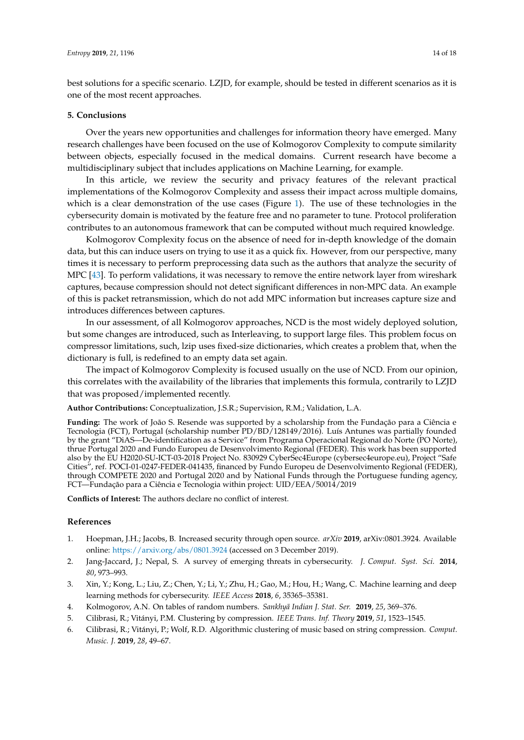best solutions for a specific scenario. LZJD, for example, should be tested in different scenarios as it is one of the most recent approaches.

#### <span id="page-13-3"></span>**5. Conclusions**

Over the years new opportunities and challenges for information theory have emerged. Many research challenges have been focused on the use of Kolmogorov Complexity to compute similarity between objects, especially focused in the medical domains. Current research have become a multidisciplinary subject that includes applications on Machine Learning, for example.

In this article, we review the security and privacy features of the relevant practical implementations of the Kolmogorov Complexity and assess their impact across multiple domains, which is a clear demonstration of the use cases (Figure [1\)](#page-4-0). The use of these technologies in the cybersecurity domain is motivated by the feature free and no parameter to tune. Protocol proliferation contributes to an autonomous framework that can be computed without much required knowledge.

Kolmogorov Complexity focus on the absence of need for in-depth knowledge of the domain data, but this can induce users on trying to use it as a quick fix. However, from our perspective, many times it is necessary to perform preprocessing data such as the authors that analyze the security of MPC [\[43\]](#page-15-5). To perform validations, it was necessary to remove the entire network layer from wireshark captures, because compression should not detect significant differences in non-MPC data. An example of this is packet retransmission, which do not add MPC information but increases capture size and introduces differences between captures.

In our assessment, of all Kolmogorov approaches, NCD is the most widely deployed solution, but some changes are introduced, such as Interleaving, to support large files. This problem focus on compressor limitations, such, lzip uses fixed-size dictionaries, which creates a problem that, when the dictionary is full, is redefined to an empty data set again.

The impact of Kolmogorov Complexity is focused usually on the use of NCD. From our opinion, this correlates with the availability of the libraries that implements this formula, contrarily to LZJD that was proposed/implemented recently.

**Author Contributions:** Conceptualization, J.S.R.; Supervision, R.M.; Validation, L.A.

**Funding:** The work of João S. Resende was supported by a scholarship from the Fundação para a Ciência e Tecnologia (FCT), Portugal (scholarship number PD/BD/128149/2016). Luís Antunes was partially founded by the grant "DiAS—De-identification as a Service" from Programa Operacional Regional do Norte (PO Norte), thrue Portugal 2020 and Fundo Europeu de Desenvolvimento Regional (FEDER). This work has been supported also by the EU H2020-SU-ICT-03-2018 Project No. 830929 CyberSec4Europe (cybersec4europe.eu), Project "Safe Cities", ref. POCI-01-0247-FEDER-041435, financed by Fundo Europeu de Desenvolvimento Regional (FEDER), through COMPETE 2020 and Portugal 2020 and by National Funds through the Portuguese funding agency, FCT—Fundação para a Ciência e Tecnologia within project: UID/EEA/50014/2019

**Conflicts of Interest:** The authors declare no conflict of interest.

## **References**

- <span id="page-13-0"></span>1. Hoepman, J.H.; Jacobs, B. Increased security through open source. *arXiv* **2019**, arXiv:0801.3924. Available online: [https://arxiv.org/abs/0801.3924]( https://arxiv.org/abs/0801.3924) (accessed on 3 December 2019).
- <span id="page-13-1"></span>2. Jang-Jaccard, J.; Nepal, S. A survey of emerging threats in cybersecurity. *J. Comput. Syst. Sci.* **2014**, *80*, 973–993.
- <span id="page-13-2"></span>3. Xin, Y.; Kong, L.; Liu, Z.; Chen, Y.; Li, Y.; Zhu, H.; Gao, M.; Hou, H.; Wang, C. Machine learning and deep learning methods for cybersecurity. *IEEE Access* **2018**, *6*, 35365–35381.
- <span id="page-13-5"></span><span id="page-13-4"></span>4. Kolmogorov, A.N. On tables of random numbers. *Sankhyā Indian J. Stat. Ser.* **2019**, 25, 369–376.
- 5. Cilibrasi, R.; Vitányi, P.M. Clustering by compression. *IEEE Trans. Inf. Theory* **2019**, *51*, 1523–1545.
- <span id="page-13-6"></span>6. Cilibrasi, R.; Vitányi, P.; Wolf, R.D. Algorithmic clustering of music based on string compression. *Comput. Music. J.* **2019**, *28*, 49–67.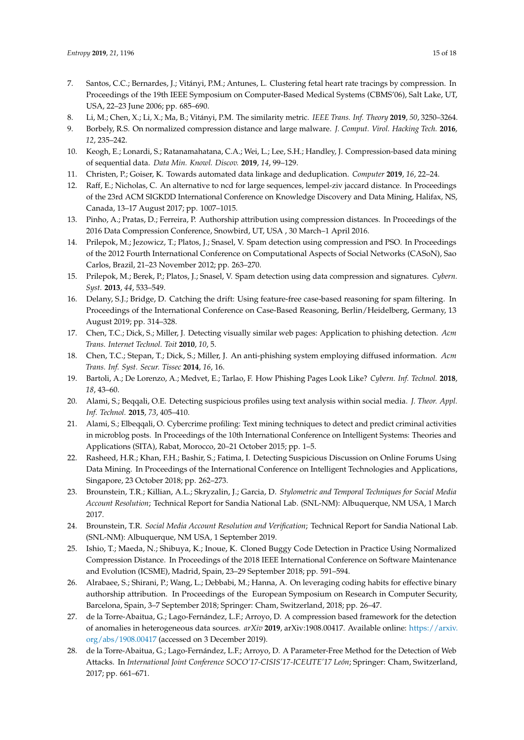- <span id="page-14-0"></span>7. Santos, C.C.; Bernardes, J.; Vitányi, P.M.; Antunes, L. Clustering fetal heart rate tracings by compression. In Proceedings of the 19th IEEE Symposium on Computer-Based Medical Systems (CBMS'06), Salt Lake, UT, USA, 22–23 June 2006; pp. 685–690.
- <span id="page-14-1"></span>8. Li, M.; Chen, X.; Li, X.; Ma, B.; Vitányi, P.M. The similarity metric. *IEEE Trans. Inf. Theory* **2019**, *50*, 3250–3264.
- <span id="page-14-2"></span>9. Borbely, R.S. On normalized compression distance and large malware. *J. Comput. Virol. Hacking Tech.* **2016**, *12*, 235–242.
- <span id="page-14-3"></span>10. Keogh, E.; Lonardi, S.; Ratanamahatana, C.A.; Wei, L.; Lee, S.H.; Handley, J. Compression-based data mining of sequential data. *Data Min. Knowl. Discov.* **2019**, *14*, 99–129.
- <span id="page-14-4"></span>11. Christen, P.; Goiser, K. Towards automated data linkage and deduplication. *Computer* **2019**, *16*, 22–24.
- <span id="page-14-5"></span>12. Raff, E.; Nicholas, C. An alternative to ncd for large sequences, lempel-ziv jaccard distance. In Proceedings of the 23rd ACM SIGKDD International Conference on Knowledge Discovery and Data Mining, Halifax, NS, Canada, 13–17 August 2017; pp. 1007–1015.
- <span id="page-14-6"></span>13. Pinho, A.; Pratas, D.; Ferreira, P. Authorship attribution using compression distances. In Proceedings of the 2016 Data Compression Conference, Snowbird, UT, USA , 30 March–1 April 2016.
- <span id="page-14-7"></span>14. Prilepok, M.; Jezowicz, T.; Platos, J.; Snasel, V. Spam detection using compression and PSO. In Proceedings of the 2012 Fourth International Conference on Computational Aspects of Social Networks (CASoN), Sao Carlos, Brazil, 21–23 November 2012; pp. 263–270.
- <span id="page-14-11"></span>15. Prilepok, M.; Berek, P.; Platos, J.; Snasel, V. Spam detection using data compression and signatures. *Cybern. Syst.* **2013**, *44*, 533–549.
- <span id="page-14-10"></span>16. Delany, S.J.; Bridge, D. Catching the drift: Using feature-free case-based reasoning for spam filtering. In Proceedings of the International Conference on Case-Based Reasoning, Berlin/Heidelberg, Germany, 13 August 2019; pp. 314–328.
- <span id="page-14-12"></span>17. Chen, T.C.; Dick, S.; Miller, J. Detecting visually similar web pages: Application to phishing detection. *Acm Trans. Internet Technol. Toit* **2010**, *10*, 5.
- <span id="page-14-13"></span>18. Chen, T.C.; Stepan, T.; Dick, S.; Miller, J. An anti-phishing system employing diffused information. *Acm Trans. Inf. Syst. Secur. Tissec* **2014**, *16*, 16.
- <span id="page-14-14"></span>19. Bartoli, A.; De Lorenzo, A.; Medvet, E.; Tarlao, F. How Phishing Pages Look Like? *Cybern. Inf. Technol.* **2018**, *18*, 43–60.
- <span id="page-14-15"></span>20. Alami, S.; Beqqali, O.E. Detecting suspicious profiles using text analysis within social media. *J. Theor. Appl. Inf. Technol.* **2015**, *73*, 405–410.
- <span id="page-14-16"></span>21. Alami, S.; Elbeqqali, O. Cybercrime profiling: Text mining techniques to detect and predict criminal activities in microblog posts. In Proceedings of the 10th International Conference on Intelligent Systems: Theories and Applications (SITA), Rabat, Morocco, 20–21 October 2015; pp. 1–5.
- <span id="page-14-17"></span>22. Rasheed, H.R.; Khan, F.H.; Bashir, S.; Fatima, I. Detecting Suspicious Discussion on Online Forums Using Data Mining. In Proceedings of the International Conference on Intelligent Technologies and Applications, Singapore, 23 October 2018; pp. 262–273.
- <span id="page-14-18"></span>23. Brounstein, T.R.; Killian, A.L.; Skryzalin, J.; Garcia, D. *Stylometric and Temporal Techniques for Social Media Account Resolution*; Technical Report for Sandia National Lab. (SNL-NM): Albuquerque, NM USA, 1 March 2017.
- <span id="page-14-8"></span>24. Brounstein, T.R. *Social Media Account Resolution and Verification*; Technical Report for Sandia National Lab. (SNL-NM): Albuquerque, NM USA, 1 September 2019.
- <span id="page-14-9"></span>25. Ishio, T.; Maeda, N.; Shibuya, K.; Inoue, K. Cloned Buggy Code Detection in Practice Using Normalized Compression Distance. In Proceedings of the 2018 IEEE International Conference on Software Maintenance and Evolution (ICSME), Madrid, Spain, 23–29 September 2018; pp. 591–594.
- <span id="page-14-19"></span>26. Alrabaee, S.; Shirani, P.; Wang, L.; Debbabi, M.; Hanna, A. On leveraging coding habits for effective binary authorship attribution. In Proceedings of the European Symposium on Research in Computer Security, Barcelona, Spain, 3–7 September 2018; Springer: Cham, Switzerland, 2018; pp. 26–47.
- <span id="page-14-20"></span>27. de la Torre-Abaitua, G.; Lago-Fernández, L.F.; Arroyo, D. A compression based framework for the detection of anomalies in heterogeneous data sources. *arXiv* **2019**, arXiv:1908.00417. Available online: [https://arxiv.](https://arxiv.org/abs/1908.00417) [org/abs/1908.00417](https://arxiv.org/abs/1908.00417) (accessed on 3 December 2019).
- <span id="page-14-21"></span>28. de la Torre-Abaitua, G.; Lago-Fernández, L.F.; Arroyo, D. A Parameter-Free Method for the Detection of Web Attacks. In *International Joint Conference SOCO'17-CISIS'17-ICEUTE'17 León*; Springer: Cham, Switzerland, 2017; pp. 661–671.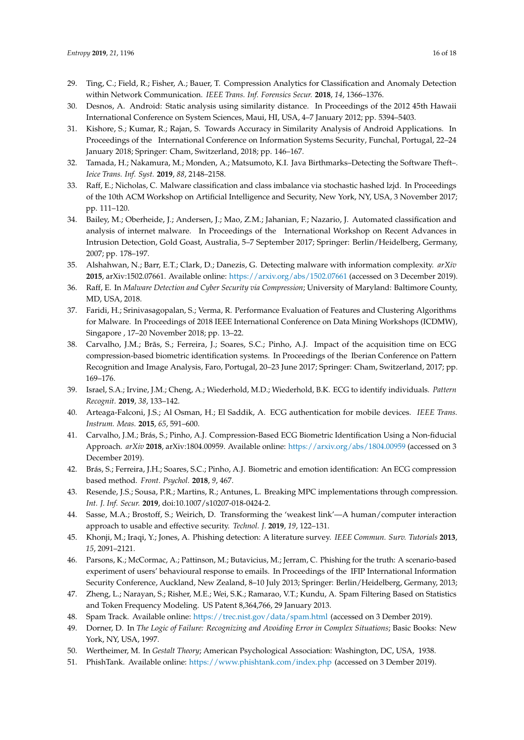- <span id="page-15-14"></span>29. Ting, C.; Field, R.; Fisher, A.; Bauer, T. Compression Analytics for Classification and Anomaly Detection within Network Communication. *IEEE Trans. Inf. Forensics Secur.* **2018**, *14*, 1366–1376.
- <span id="page-15-15"></span>30. Desnos, A. Android: Static analysis using similarity distance. In Proceedings of the 2012 45th Hawaii International Conference on System Sciences, Maui, HI, USA, 4–7 January 2012; pp. 5394–5403.
- <span id="page-15-16"></span>31. Kishore, S.; Kumar, R.; Rajan, S. Towards Accuracy in Similarity Analysis of Android Applications. In Proceedings of the International Conference on Information Systems Security, Funchal, Portugal, 22–24 January 2018; Springer: Cham, Switzerland, 2018; pp. 146–167.
- <span id="page-15-0"></span>32. Tamada, H.; Nakamura, M.; Monden, A.; Matsumoto, K.I. Java Birthmarks–Detecting the Software Theft–. *Ieice Trans. Inf. Syst.* **2019**, *88*, 2148–2158.
- <span id="page-15-1"></span>33. Raff, E.; Nicholas, C. Malware classification and class imbalance via stochastic hashed lzjd. In Proceedings of the 10th ACM Workshop on Artificial Intelligence and Security, New York, NY, USA, 3 November 2017; pp. 111–120.
- <span id="page-15-17"></span>34. Bailey, M.; Oberheide, J.; Andersen, J.; Mao, Z.M.; Jahanian, F.; Nazario, J. Automated classification and analysis of internet malware. In Proceedings of the International Workshop on Recent Advances in Intrusion Detection, Gold Goast, Australia, 5–7 September 2017; Springer: Berlin/Heidelberg, Germany, 2007; pp. 178–197.
- <span id="page-15-18"></span>35. Alshahwan, N.; Barr, E.T.; Clark, D.; Danezis, G. Detecting malware with information complexity. *arXiv* **2015**, arXiv:1502.07661. Available online: <https://arxiv.org/abs/1502.07661> (accessed on 3 December 2019).
- <span id="page-15-19"></span>36. Raff, E. In *Malware Detection and Cyber Security via Compression*; University of Maryland: Baltimore County, MD, USA, 2018.
- <span id="page-15-2"></span>37. Faridi, H.; Srinivasagopalan, S.; Verma, R. Performance Evaluation of Features and Clustering Algorithms for Malware. In Proceedings of 2018 IEEE International Conference on Data Mining Workshops (ICDMW), Singapore , 17–20 November 2018; pp. 13–22.
- <span id="page-15-3"></span>38. Carvalho, J.M.; Brãs, S.; Ferreira, J.; Soares, S.C.; Pinho, A.J. Impact of the acquisition time on ECG compression-based biometric identification systems. In Proceedings of the Iberian Conference on Pattern Recognition and Image Analysis, Faro, Portugal, 20–23 June 2017; Springer: Cham, Switzerland, 2017; pp. 169–176.
- <span id="page-15-20"></span>39. Israel, S.A.; Irvine, J.M.; Cheng, A.; Wiederhold, M.D.; Wiederhold, B.K. ECG to identify individuals. *Pattern Recognit.* **2019**, *38*, 133–142.
- <span id="page-15-21"></span>40. Arteaga-Falconi, J.S.; Al Osman, H.; El Saddik, A. ECG authentication for mobile devices. *IEEE Trans. Instrum. Meas.* **2015**, *65*, 591–600.
- <span id="page-15-22"></span>41. Carvalho, J.M.; Brás, S.; Pinho, A.J. Compression-Based ECG Biometric Identification Using a Non-fiducial Approach. *arXiv* **2018**, arXiv:1804.00959. Available online: <https://arxiv.org/abs/1804.00959> (accessed on 3 December 2019).
- <span id="page-15-4"></span>42. Brás, S.; Ferreira, J.H.; Soares, S.C.; Pinho, A.J. Biometric and emotion identification: An ECG compression based method. *Front. Psychol.* **2018**, *9*, 467.
- <span id="page-15-5"></span>43. Resende, J.S.; Sousa, P.R.; Martins, R.; Antunes, L. Breaking MPC implementations through compression. *Int. J. Inf. Secur.* **2019**, doi:10.1007/s10207-018-0424-2.
- <span id="page-15-6"></span>44. Sasse, M.A.; Brostoff, S.; Weirich, D. Transforming the 'weakest link'—A human/computer interaction approach to usable and effective security. *Technol. J.* **2019**, *19*, 122–131.
- <span id="page-15-7"></span>45. Khonji, M.; Iraqi, Y.; Jones, A. Phishing detection: A literature survey. *IEEE Commun. Surv. Tutorials* **2013**, *15*, 2091–2121.
- <span id="page-15-8"></span>46. Parsons, K.; McCormac, A.; Pattinson, M.; Butavicius, M.; Jerram, C. Phishing for the truth: A scenario-based experiment of users' behavioural response to emails. In Proceedings of the IFIP International Information Security Conference, Auckland, New Zealand, 8–10 July 2013; Springer: Berlin/Heidelberg, Germany, 2013;
- <span id="page-15-9"></span>47. Zheng, L.; Narayan, S.; Risher, M.E.; Wei, S.K.; Ramarao, V.T.; Kundu, A. Spam Filtering Based on Statistics and Token Frequency Modeling. US Patent 8,364,766, 29 January 2013.
- <span id="page-15-10"></span>48. Spam Track. Available online: <https://trec.nist.gov/data/spam.html> (accessed on 3 Dember 2019).
- <span id="page-15-11"></span>49. Dorner, D. In *The Logic of Failure: Recognizing and Avoiding Error in Complex Situations*; Basic Books: New York, NY, USA, 1997.
- <span id="page-15-12"></span>50. Wertheimer, M. In *Gestalt Theory*; American Psychological Association: Washington, DC, USA, 1938.
- <span id="page-15-13"></span>51. PhishTank. Available online: <https://www.phishtank.com/index.php> (accessed on 3 Dember 2019).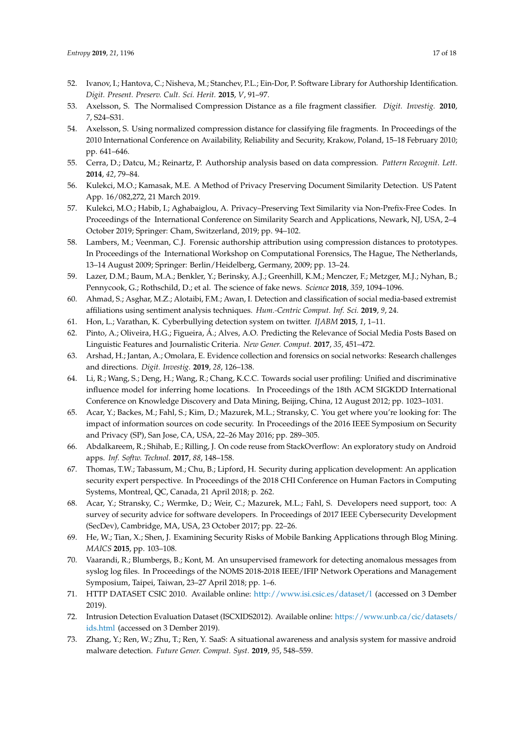- <span id="page-16-0"></span>52. Ivanov, I.; Hantova, C.; Nisheva, M.; Stanchev, P.L.; Ein-Dor, P. Software Library for Authorship Identification. *Digit. Present. Preserv. Cult. Sci. Herit.* **2015**, *V*, 91–97.
- <span id="page-16-1"></span>53. Axelsson, S. The Normalised Compression Distance as a file fragment classifier. *Digit. Investig.* **2010**, *7*, S24–S31.
- 54. Axelsson, S. Using normalized compression distance for classifying file fragments. In Proceedings of the 2010 International Conference on Availability, Reliability and Security, Krakow, Poland, 15–18 February 2010; pp. 641–646.
- 55. Cerra, D.; Datcu, M.; Reinartz, P. Authorship analysis based on data compression. *Pattern Recognit. Lett.* **2014**, *42*, 79–84.
- 56. Kulekci, M.O.; Kamasak, M.E. A Method of Privacy Preserving Document Similarity Detection. US Patent App. 16/082,272, 21 March 2019.
- 57. Kulekci, M.O.; Habib, I.; Aghabaiglou, A. Privacy–Preserving Text Similarity via Non-Prefix-Free Codes. In Proceedings of the International Conference on Similarity Search and Applications, Newark, NJ, USA, 2–4 October 2019; Springer: Cham, Switzerland, 2019; pp. 94–102.
- <span id="page-16-2"></span>58. Lambers, M.; Veenman, C.J. Forensic authorship attribution using compression distances to prototypes. In Proceedings of the International Workshop on Computational Forensics, The Hague, The Netherlands, 13–14 August 2009; Springer: Berlin/Heidelberg, Germany, 2009; pp. 13–24.
- <span id="page-16-3"></span>59. Lazer, D.M.; Baum, M.A.; Benkler, Y.; Berinsky, A.J.; Greenhill, K.M.; Menczer, F.; Metzger, M.J.; Nyhan, B.; Pennycook, G.; Rothschild, D.; et al. The science of fake news. *Science* **2018**, *359*, 1094–1096.
- <span id="page-16-4"></span>60. Ahmad, S.; Asghar, M.Z.; Alotaibi, F.M.; Awan, I. Detection and classification of social media-based extremist affiliations using sentiment analysis techniques. *Hum.-Centric Comput. Inf. Sci.* **2019**, *9*, 24.
- 61. Hon, L.; Varathan, K. Cyberbullying detection system on twitter. *IJABM* **2015**, *1*, 1–11.
- 62. Pinto, A.; Oliveira, H.G.; Figueira, Á.; Alves, A.O. Predicting the Relevance of Social Media Posts Based on Linguistic Features and Journalistic Criteria. *New Gener. Comput.* **2017**, *35*, 451–472.
- <span id="page-16-5"></span>63. Arshad, H.; Jantan, A.; Omolara, E. Evidence collection and forensics on social networks: Research challenges and directions. *Digit. Investig.* **2019**, *28*, 126–138.
- <span id="page-16-6"></span>64. Li, R.; Wang, S.; Deng, H.; Wang, R.; Chang, K.C.C. Towards social user profiling: Unified and discriminative influence model for inferring home locations. In Proceedings of the 18th ACM SIGKDD International Conference on Knowledge Discovery and Data Mining, Beijing, China, 12 August 2012; pp. 1023–1031.
- <span id="page-16-7"></span>65. Acar, Y.; Backes, M.; Fahl, S.; Kim, D.; Mazurek, M.L.; Stransky, C. You get where you're looking for: The impact of information sources on code security. In Proceedings of the 2016 IEEE Symposium on Security and Privacy (SP), San Jose, CA, USA, 22–26 May 2016; pp. 289–305.
- <span id="page-16-8"></span>66. Abdalkareem, R.; Shihab, E.; Rilling, J. On code reuse from StackOverflow: An exploratory study on Android apps. *Inf. Softw. Technol.* **2017**, *88*, 148–158.
- 67. Thomas, T.W.; Tabassum, M.; Chu, B.; Lipford, H. Security during application development: An application security expert perspective. In Proceedings of the 2018 CHI Conference on Human Factors in Computing Systems, Montreal, QC, Canada, 21 April 2018; p. 262.
- <span id="page-16-9"></span>68. Acar, Y.; Stransky, C.; Wermke, D.; Weir, C.; Mazurek, M.L.; Fahl, S. Developers need support, too: A survey of security advice for software developers. In Proceedings of 2017 IEEE Cybersecurity Development (SecDev), Cambridge, MA, USA, 23 October 2017; pp. 22–26.
- <span id="page-16-10"></span>69. He, W.; Tian, X.; Shen, J. Examining Security Risks of Mobile Banking Applications through Blog Mining. *MAICS* **2015**, pp. 103–108.
- <span id="page-16-11"></span>70. Vaarandi, R.; Blumbergs, B.; Kont, M. An unsupervised framework for detecting anomalous messages from syslog log files. In Proceedings of the NOMS 2018-2018 IEEE/IFIP Network Operations and Management Symposium, Taipei, Taiwan, 23–27 April 2018; pp. 1–6.
- <span id="page-16-12"></span>71. HTTP DATASET CSIC 2010. Available online: <http://www.isi.csic.es/dataset/l> (accessed on 3 Dember 2019).
- <span id="page-16-13"></span>72. Intrusion Detection Evaluation Dataset (ISCXIDS2012). Available online: [https://www.unb.ca/cic/datasets/](https://www.unb.ca/cic/datasets/ids.html) [ids.html](https://www.unb.ca/cic/datasets/ids.html) (accessed on 3 Dember 2019).
- <span id="page-16-14"></span>73. Zhang, Y.; Ren, W.; Zhu, T.; Ren, Y. SaaS: A situational awareness and analysis system for massive android malware detection. *Future Gener. Comput. Syst.* **2019**, *95*, 548–559.